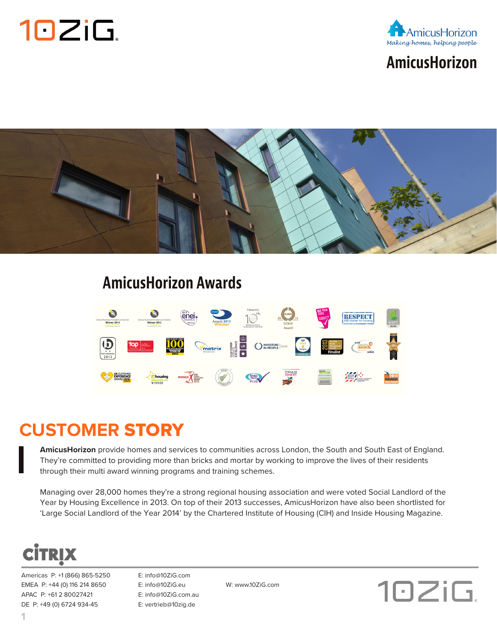



### **AmicusHorizon**



#### **AmicusHorizon Awards**



#### **CUSTOMER** STORY

**AmicusHorizon** provide homes and services to communities across London, the South and South East of England. They're committed to providing more than bricks and mortar by working to improve the lives of their residents through their multi award winning programs and training schemes.

Managing over 28,000 homes they're a strong regional housing association and were voted Social Landlord of the Year by Housing Excellence in 2013. On top of their 2013 successes, AmicusHorizon have also been shortlisted for 'Large Social Landlord of the Year 2014' by the Chartered Institute of Housing (CIH) and Inside Housing Magazine.



Americas P: +1 (866) 865-5250 E: info@10ZiG.com EMEA P: +44 (0) 116 214 8650 E: info@10ZiG.eu W: www.10ZiG.com APAC P: +61 2 80027421 E: info@10ZiG.com.au DE P: +49 (0) 6724 934-45 E: vertrieb@10zig.de

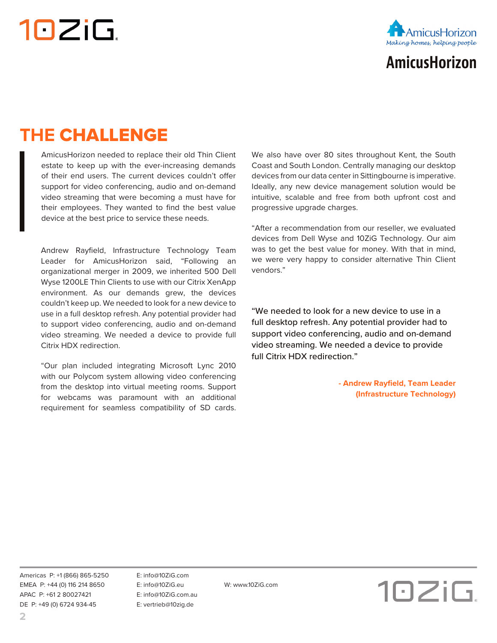# 10ZiG.



# **AmicusHorizon**

# **THE** CHALLENGE

AmicusHorizon needed to replace their old Thin Client estate to keep up with the ever-increasing demands of their end users. The current devices couldn't offer support for video conferencing, audio and on-demand video streaming that were becoming a must have for their employees. They wanted to find the best value device at the best price to service these needs.

Andrew Rayfield, Infrastructure Technology Team Leader for AmicusHorizon said, "Following an organizational merger in 2009, we inherited 500 Dell Wyse 1200LE Thin Clients to use with our Citrix XenApp environment. As our demands grew, the devices couldn't keep up. We needed to look for a new device to use in a full desktop refresh. Any potential provider had to support video conferencing, audio and on-demand video streaming. We needed a device to provide full Citrix HDX redirection.

"Our plan included integrating Microsoft Lync 2010 with our Polycom system allowing video conferencing from the desktop into virtual meeting rooms. Support for webcams was paramount with an additional requirement for seamless compatibility of SD cards.

We also have over 80 sites throughout Kent, the South Coast and South London. Centrally managing our desktop devices from our data center in Sittingbourne is imperative. Ideally, any new device management solution would be intuitive, scalable and free from both upfront cost and progressive upgrade charges.

"After a recommendation from our reseller, we evaluated devices from Dell Wyse and 10ZiG Technology. Our aim was to get the best value for money. With that in mind, we were very happy to consider alternative Thin Client vendors."

"We needed to look for a new device to use in a full desktop refresh. Any potential provider had to support video conferencing, audio and on-demand video streaming. We needed a device to provide full Citrix HDX redirection."

> **- Andrew Rayfield, Team Leader (Infrastructure Technology)**

Americas P: +1 (866) 865-5250 E: info@10ZiG.com EMEA P: +44 (0) 116 214 8650 E: info@10ZiG.eu W: www.10ZiG.com APAC P: +61 2 80027421 E: info@10ZiG.com.au DE P: +49 (0) 6724 934-45 E: vertrieb@10zig.de

10ZiG.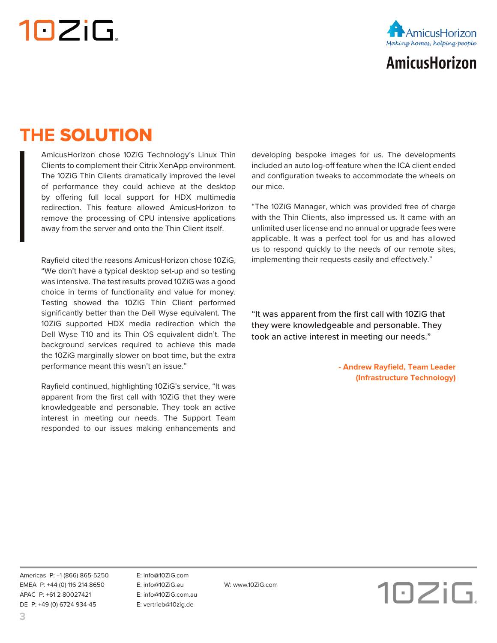# 10ZiG.



## **AmicusHorizon**

### **THE** SOLUTION

AmicusHorizon chose 10ZiG Technology's Linux Thin Clients to complement their Citrix XenApp environment. The 10ZiG Thin Clients dramatically improved the level of performance they could achieve at the desktop by offering full local support for HDX multimedia redirection. This feature allowed AmicusHorizon to remove the processing of CPU intensive applications away from the server and onto the Thin Client itself.

Rayfield cited the reasons AmicusHorizon chose 10ZiG, "We don't have a typical desktop set-up and so testing was intensive. The test results proved 10ZiG was a good choice in terms of functionality and value for money. Testing showed the 10ZiG Thin Client performed significantly better than the Dell Wyse equivalent. The 10ZiG supported HDX media redirection which the Dell Wyse T10 and its Thin OS equivalent didn't. The background services required to achieve this made the 10ZiG marginally slower on boot time, but the extra performance meant this wasn't an issue."

Rayfield continued, highlighting 10ZiG's service, "It was apparent from the first call with 10ZiG that they were knowledgeable and personable. They took an active interest in meeting our needs. The Support Team responded to our issues making enhancements and developing bespoke images for us. The developments included an auto log-off feature when the ICA client ended and configuration tweaks to accommodate the wheels on our mice.

"The 10ZiG Manager, which was provided free of charge with the Thin Clients, also impressed us. It came with an unlimited user license and no annual or upgrade fees were applicable. It was a perfect tool for us and has allowed us to respond quickly to the needs of our remote sites, implementing their requests easily and effectively."

"It was apparent from the first call with 10ZiG that they were knowledgeable and personable. They took an active interest in meeting our needs."

> **- Andrew Rayfield, Team Leader (Infrastructure Technology)**

Americas P: +1 (866) 865-5250 E: info@10ZiG.com EMEA P: +44 (0) 116 214 8650 E: info@10ZiG.eu W: www.10ZiG.com APAC P: +61 2 80027421 E: info@10ZiG.com.au DE P: +49 (0) 6724 934-45 E: vertrieb@10zig.de

10ZiG.